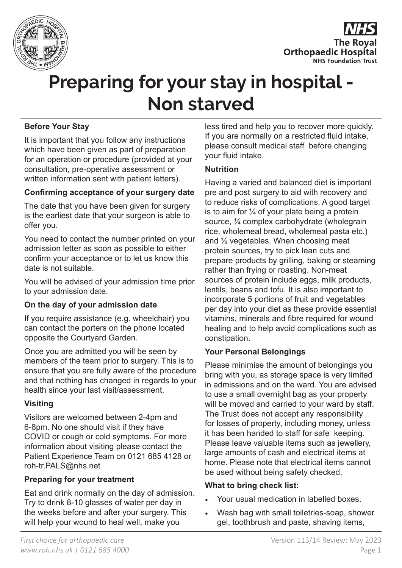



# **Before Your Stay**

It is important that you follow any instructions which have been given as part of preparation for an operation or procedure (provided at your consultation, pre-operative assessment or written information sent with patient letters).

# **Confirming acceptance of your surgery date**

The date that you have been given for surgery is the earliest date that your surgeon is able to offer you.

You need to contact the number printed on your admission letter as soon as possible to either confirm your acceptance or to let us know this date is not suitable.

You will be advised of your admission time prior to your admission date.

# **On the day of your admission date**

If you require assistance (e.g. wheelchair) you can contact the porters on the phone located opposite the Courtyard Garden.

Once you are admitted you will be seen by members of the team prior to surgery. This is to ensure that you are fully aware of the procedure and that nothing has changed in regards to your health since your last visit/assessment.

# **Visiting**

Visitors are welcomed between 2-4pm and 6-8pm. No one should visit if they have COVID or cough or cold symptoms. For more information about visiting please contact the Patient Experience Team on 0121 685 4128 or roh-tr.PALS@nhs.net

# **Preparing for your treatment**

Eat and drink normally on the day of admission. Try to drink 8-10 glasses of water per day in the weeks before and after your surgery. This will help your wound to heal well, make you

less tired and help you to recover more quickly. If you are normally on a restricted fluid intake, please consult medical staff before changing your fluid intake.

# **Nutrition**

Having a varied and balanced diet is important pre and post surgery to aid with recovery and to reduce risks of complications. A good target is to aim for  $\frac{1}{4}$  of your plate being a protein source, ¼ complex carbohydrate (wholegrain rice, wholemeal bread, wholemeal pasta etc.) and ½ vegetables. When choosing meat protein sources, try to pick lean cuts and prepare products by grilling, baking or steaming rather than frying or roasting. Non-meat sources of protein include eggs, milk products, lentils, beans and tofu. It is also important to incorporate 5 portions of fruit and vegetables per day into your diet as these provide essential vitamins, minerals and fibre required for wound healing and to help avoid complications such as constipation.

# **Your Personal Belongings**

Please minimise the amount of belongings you bring with you, as storage space is very limited in admissions and on the ward. You are advised to use a small overnight bag as your property will be moved and carried to your ward by staff. The Trust does not accept any responsibility for losses of property, including money, unless it has been handed to staff for safe keeping. Please leave valuable items such as jewellery, large amounts of cash and electrical items at home. Please note that electrical items cannot be used without being safety checked.

#### **What to bring check list:**

- Your usual medication in labelled boxes.
- Wash bag with small toiletries-soap, shower gel, toothbrush and paste, shaving items,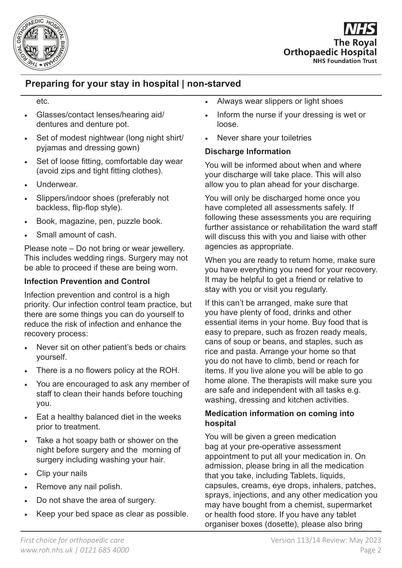

**The Roval Orthopaedic Hospital NHS Foundation Trust** 

# **Preparing for your stay in hospital | non-starved**

#### etc.

- Glasses/contact lenses/hearing aid/ dentures and denture pot.
- Set of modest nightwear (long night shirt/ pyjamas and dressing gown)
- Set of loose fitting, comfortable day wear (avoid zips and tight fitting clothes).
- Underwear.
- Slippers/indoor shoes (preferably not backless, flip-flop style).
- Book, magazine, pen, puzzle book.
- Small amount of cash.

Please note – Do not bring or wear jewellery. This includes wedding rings. Surgery may not be able to proceed if these are being worn.

# **Infection Prevention and Control**

Infection prevention and control is a high priority. Our infection control team practice, but there are some things you can do yourself to reduce the risk of infection and enhance the recovery process:

- Never sit on other patient's beds or chairs yourself.
- There is a no flowers policy at the ROH.
- You are encouraged to ask any member of staff to clean their hands before touching you.
- Eat a healthy balanced diet in the weeks prior to treatment.
- Take a hot soapy bath or shower on the night before surgery and the morning of surgery including washing your hair.
- Clip your nails
- Remove any nail polish.
- Do not shave the area of surgery.
- Keep your bed space as clear as possible.
- Always wear slippers or light shoes
- Inform the nurse if your dressing is wet or loose.
- Never share your toiletries

# **Discharge Information**

You will be informed about when and where your discharge will take place. This will also allow you to plan ahead for your discharge.

You will only be discharged home once you have completed all assessments safely. If following these assessments you are requiring further assistance or rehabilitation the ward staff will discuss this with you and liaise with other agencies as appropriate.

When you are ready to return home, make sure you have everything you need for your recovery. It may be helpful to get a friend or relative to stay with you or visit you regularly.

If this can't be arranged, make sure that you have plenty of food, drinks and other essential items in your home. Buy food that is easy to prepare, such as frozen ready meals, cans of soup or beans, and staples, such as rice and pasta. Arrange your home so that you do not have to climb, bend or reach for items. If you live alone you will be able to go home alone. The therapists will make sure you are safe and independent with all tasks e.g. washing, dressing and kitchen activities.

# **Medication information on coming into hospital**

You will be given a green medication bag at your pre-operative assessment appointment to put all your medication in. On admission, please bring in all the medication that you take, including Tablets, liquids, capsules, creams, eye drops, inhalers, patches, sprays, injections, and any other medication you may have bought from a chemist, supermarket or health food store. If you have any tablet organiser boxes (dosette), please also bring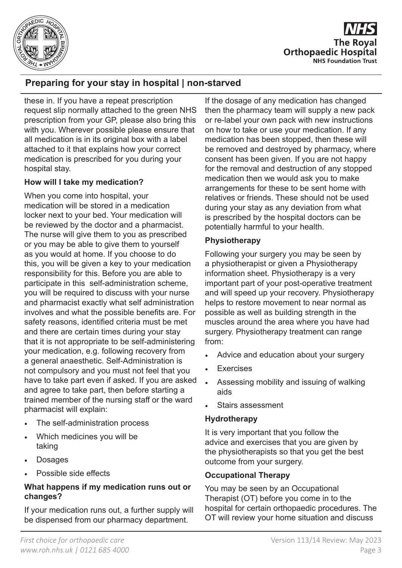

**The Roval Orthopaedic Hospital NHS Foundation Trust** 

these in. If you have a repeat prescription request slip normally attached to the green NHS prescription from your GP, please also bring this with you. Wherever possible please ensure that all medication is in its original box with a label attached to it that explains how your correct medication is prescribed for you during your hospital stay.

# **How will I take my medication?**

When you come into hospital, your medication will be stored in a medication locker next to your bed. Your medication will be reviewed by the doctor and a pharmacist. The nurse will give them to you as prescribed or you may be able to give them to yourself as you would at home. If you choose to do this, you will be given a key to your medication responsibility for this. Before you are able to participate in this self-administration scheme, you will be required to discuss with your nurse and pharmacist exactly what self administration involves and what the possible benefits are. For safety reasons, identified criteria must be met and there are certain times during your stay that it is not appropriate to be self-administering your medication, e.g. following recovery from a general anaesthetic. Self-Administration is not compulsory and you must not feel that you have to take part even if asked. If you are asked and agree to take part, then before starting a trained member of the nursing staff or the ward pharmacist will explain:

- The self-administration process
- Which medicines you will be taking
- **Dosages**
- Possible side effects

#### **What happens if my medication runs out or changes?**

If your medication runs out, a further supply will be dispensed from our pharmacy department.

If the dosage of any medication has changed then the pharmacy team will supply a new pack or re-label your own pack with new instructions on how to take or use your medication. If any medication has been stopped, then these will be removed and destroyed by pharmacy, where consent has been given. If you are not happy for the removal and destruction of any stopped medication then we would ask you to make arrangements for these to be sent home with relatives or friends. These should not be used during your stay as any deviation from what is prescribed by the hospital doctors can be potentially harmful to your health.

# **Physiotherapy**

Following your surgery you may be seen by a physiotherapist or given a Physiotherapy information sheet. Physiotherapy is a very important part of your post-operative treatment and will speed up your recovery. Physiotherapy helps to restore movement to near normal as possible as well as building strength in the muscles around the area where you have had surgery. Physiotherapy treatment can range from:

- Advice and education about your surgery
- **Exercises**
- Assessing mobility and issuing of walking aids
- Stairs assessment

#### **Hydrotherapy**

It is very important that you follow the advice and exercises that you are given by the physiotherapists so that you get the best outcome from your surgery.

# **Occupational Therapy**

You may be seen by an Occupational Therapist (OT) before you come in to the hospital for certain orthopaedic procedures. The OT will review your home situation and discuss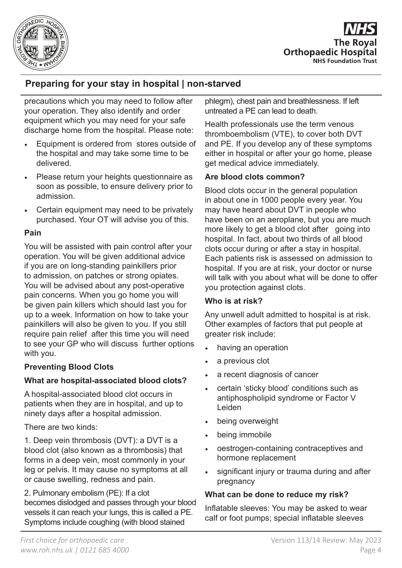

**The Roval Orthopaedic Hospital NHS Foundation Trust** 

precautions which you may need to follow after your operation. They also identify and order equipment which you may need for your safe discharge home from the hospital. Please note:

- Equipment is ordered from stores outside of the hospital and may take some time to be delivered.
- Please return your heights questionnaire as soon as possible, to ensure delivery prior to admission.
- Certain equipment may need to be privately purchased. Your OT will advise you of this.

# **Pain**

You will be assisted with pain control after your operation. You will be given additional advice if you are on long-standing painkillers prior to admission, on patches or strong opiates. You will be advised about any post-operative pain concerns. When you go home you will be given pain killers which should last you for up to a week. Information on how to take your painkillers will also be given to you. If you still require pain relief after this time you will need to see your GP who will discuss further options with you.

# **Preventing Blood Clots**

#### **What are hospital-associated blood clots?**

A hospital-associated blood clot occurs in patients when they are in hospital, and up to ninety days after a hospital admission.

There are two kinds:

1. Deep vein thrombosis (DVT): a DVT is a blood clot (also known as a thrombosis) that forms in a deep vein, most commonly in your leg or pelvis. It may cause no symptoms at all or cause swelling, redness and pain.

2. Pulmonary embolism (PE): If a clot becomes dislodged and passes through your blood vessels it can reach your lungs, this is called a PE. Symptoms include coughing (with blood stained

phlegm), chest pain and breathlessness. If left untreated a PE can lead to death.

Health professionals use the term venous thromboembolism (VTE), to cover both DVT and PE. If you develop any of these symptoms either in hospital or after your go home, please get medical advice immediately.

# **Are blood clots common?**

Blood clots occur in the general population in about one in 1000 people every year. You may have heard about DVT in people who have been on an aeroplane, but you are much more likely to get a blood clot after going into hospital. In fact, about two thirds of all blood clots occur during or after a stay in hospital. Each patients risk is assessed on admission to hospital. If you are at risk, your doctor or nurse will talk with you about what will be done to offer you protection against clots.

# **Who is at risk?**

Any unwell adult admitted to hospital is at risk. Other examples of factors that put people at greater risk include:

- having an operation
- a previous clot
- a recent diagnosis of cancer
- certain 'sticky blood' conditions such as antiphospholipid syndrome or Factor V Leiden
- being overweight
- being immobile
- oestrogen-containing contraceptives and hormone replacement
- significant injury or trauma during and after pregnancy

# **What can be done to reduce my risk?**

Inflatable sleeves: You may be asked to wear calf or foot pumps; special inflatable sleeves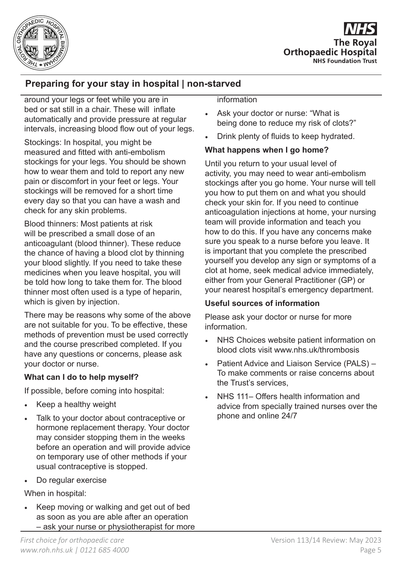

**The Roval Orthopaedic Hospital NHS Foundation Trust** 

around your legs or feet while you are in bed or sat still in a chair. These will inflate automatically and provide pressure at regular intervals, increasing blood flow out of your legs.

Stockings: In hospital, you might be measured and fitted with anti-embolism stockings for your legs. You should be shown how to wear them and told to report any new pain or discomfort in your feet or legs. Your stockings will be removed for a short time every day so that you can have a wash and check for any skin problems.

Blood thinners: Most patients at risk will be prescribed a small dose of an anticoagulant (blood thinner). These reduce the chance of having a blood clot by thinning your blood slightly. If you need to take these medicines when you leave hospital, you will be told how long to take them for. The blood thinner most often used is a type of heparin, which is given by injection.

There may be reasons why some of the above are not suitable for you. To be effective, these methods of prevention must be used correctly and the course prescribed completed. If you have any questions or concerns, please ask your doctor or nurse.

# **What can I do to help myself?**

If possible, before coming into hospital:

- Keep a healthy weight
- Talk to your doctor about contraceptive or hormone replacement therapy. Your doctor may consider stopping them in the weeks before an operation and will provide advice on temporary use of other methods if your usual contraceptive is stopped.
- Do regular exercise

When in hospital:

• Keep moving or walking and get out of bed as soon as you are able after an operation – ask your nurse or physiotherapist for more information

- Ask your doctor or nurse: "What is being done to reduce my risk of clots?"
- Drink plenty of fluids to keep hydrated.

# **What happens when I go home?**

Until you return to your usual level of activity, you may need to wear anti-embolism stockings after you go home. Your nurse will tell you how to put them on and what you should check your skin for. If you need to continue anticoagulation injections at home, your nursing team will provide information and teach you how to do this. If you have any concerns make sure you speak to a nurse before you leave. It is important that you complete the prescribed yourself you develop any sign or symptoms of a clot at home, seek medical advice immediately, either from your General Practitioner (GP) or your nearest hospital's emergency department.

# **Useful sources of information**

Please ask your doctor or nurse for more information.

- NHS Choices website patient information on blood clots visit www.nhs.uk/thrombosis
- Patient Advice and Liaison Service (PALS) To make comments or raise concerns about the Trust's services,
- NHS 111– Offers health information and advice from specially trained nurses over the phone and online 24/7